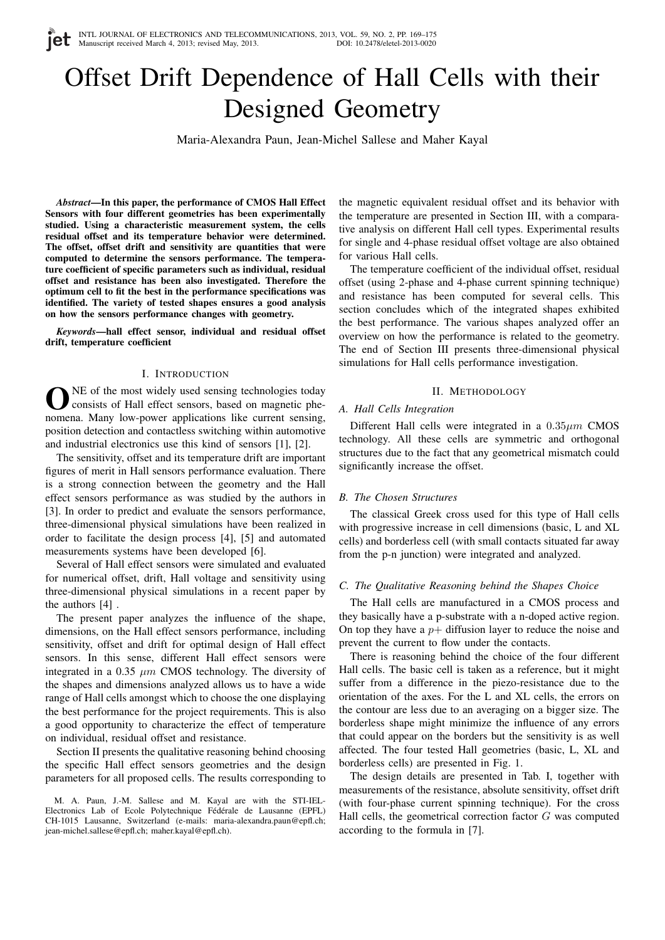# Offset Drift Dependence of Hall Cells with their Designed Geometry

Maria-Alexandra Paun, Jean-Michel Sallese and Maher Kayal

*Abstract*—In this paper, the performance of CMOS Hall Effect Sensors with four different geometries has been experimentally studied. Using a characteristic measurement system, the cells residual offset and its temperature behavior were determined. The offset, offset drift and sensitivity are quantities that were computed to determine the sensors performance. The temperature coefficient of specific parameters such as individual, residual offset and resistance has been also investigated. Therefore the optimum cell to fit the best in the performance specifications was identified. The variety of tested shapes ensures a good analysis on how the sensors performance changes with geometry.

*Keywords*—hall effect sensor, individual and residual offset drift, temperature coefficient

## I. INTRODUCTION

ONE of the most widely used sensing technologies today consists of Hall effect sensors, based on magnetic phenomena. Many low-power applications like current sensing, NE of the most widely used sensing technologies today consists of Hall effect sensors, based on magnetic pheposition detection and contactless switching within automotive and industrial electronics use this kind of sensors [1], [2].

The sensitivity, offset and its temperature drift are important figures of merit in Hall sensors performance evaluation. There is a strong connection between the geometry and the Hall effect sensors performance as was studied by the authors in [3]. In order to predict and evaluate the sensors performance, three-dimensional physical simulations have been realized in order to facilitate the design process [4], [5] and automated measurements systems have been developed [6].

Several of Hall effect sensors were simulated and evaluated for numerical offset, drift, Hall voltage and sensitivity using three-dimensional physical simulations in a recent paper by the authors [4] .

The present paper analyzes the influence of the shape, dimensions, on the Hall effect sensors performance, including sensitivity, offset and drift for optimal design of Hall effect sensors. In this sense, different Hall effect sensors were integrated in a 0.35  $\mu$ m CMOS technology. The diversity of the shapes and dimensions analyzed allows us to have a wide range of Hall cells amongst which to choose the one displaying the best performance for the project requirements. This is also a good opportunity to characterize the effect of temperature on individual, residual offset and resistance.

Section II presents the qualitative reasoning behind choosing the specific Hall effect sensors geometries and the design parameters for all proposed cells. The results corresponding to the magnetic equivalent residual offset and its behavior with the temperature are presented in Section III, with a comparative analysis on different Hall cell types. Experimental results for single and 4-phase residual offset voltage are also obtained for various Hall cells.

The temperature coefficient of the individual offset, residual offset (using 2-phase and 4-phase current spinning technique) and resistance has been computed for several cells. This section concludes which of the integrated shapes exhibited the best performance. The various shapes analyzed offer an overview on how the performance is related to the geometry. The end of Section III presents three-dimensional physical simulations for Hall cells performance investigation.

## II. METHODOLOGY

## *A. Hall Cells Integration*

Different Hall cells were integrated in a  $0.35 \mu m$  CMOS technology. All these cells are symmetric and orthogonal structures due to the fact that any geometrical mismatch could significantly increase the offset.

#### *B. The Chosen Structures*

The classical Greek cross used for this type of Hall cells with progressive increase in cell dimensions (basic, L and XL cells) and borderless cell (with small contacts situated far away from the p-n junction) were integrated and analyzed.

## *C. The Qualitative Reasoning behind the Shapes Choice*

The Hall cells are manufactured in a CMOS process and they basically have a p-substrate with a n-doped active region. On top they have a  $p+$  diffusion layer to reduce the noise and prevent the current to flow under the contacts.

There is reasoning behind the choice of the four different Hall cells. The basic cell is taken as a reference, but it might suffer from a difference in the piezo-resistance due to the orientation of the axes. For the L and XL cells, the errors on the contour are less due to an averaging on a bigger size. The borderless shape might minimize the influence of any errors that could appear on the borders but the sensitivity is as well affected. The four tested Hall geometries (basic, L, XL and borderless cells) are presented in Fig. 1.

The design details are presented in Tab. I, together with measurements of the resistance, absolute sensitivity, offset drift (with four-phase current spinning technique). For the cross Hall cells, the geometrical correction factor  $G$  was computed according to the formula in [7].

M. A. Paun, J.-M. Sallese and M. Kayal are with the STI-IEL-Electronics Lab of Ecole Polytechnique Fédérale de Lausanne (EPFL) CH-1015 Lausanne, Switzerland (e-mails: maria-alexandra.paun@epfl.ch; jean-michel.sallese@epfl.ch; maher.kayal@epfl.ch).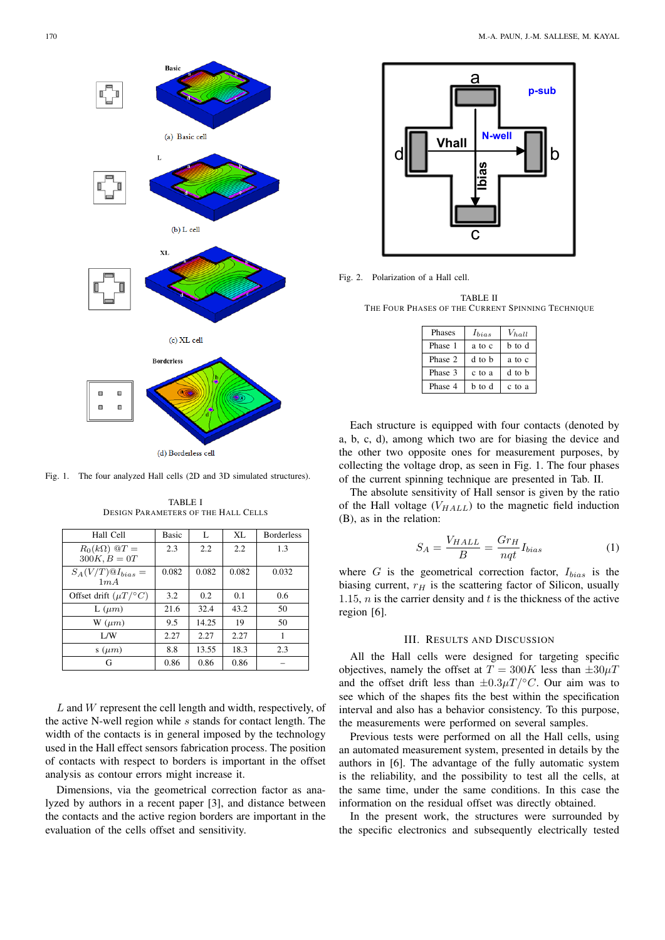

Fig. 1. The four analyzed Hall cells (2D and 3D simulated structures).

| Hall Cell                                        | <b>Basic</b> | L     | XL    | <b>Borderless</b> |
|--------------------------------------------------|--------------|-------|-------|-------------------|
| $R_0(k\Omega)$ $\mathbb{Q}T =$<br>$300K, B = 0T$ | 2.3          | 2.2   | 2.2   | 1.3               |
| $S_A(V/T) \mathcal{Q} I_{bias} =$<br>1mA         | 0.082        | 0.082 | 0.082 | 0.032             |
| Offset drift $(\mu T)^{\circ} C$                 | 3.2          | 0.2   | 0.1   | 0.6               |
| $L(\mu m)$                                       | 21.6         | 32.4  | 43.2  | 50                |
| $W(\mu m)$                                       | 9.5          | 14.25 | 19    | 50                |
| 1/W                                              | 2.27         | 2.27  | 2.27  | 1                 |
| $s(\mu m)$                                       | 8.8          | 13.55 | 18.3  | 2.3               |
| G                                                | 0.86         | 0.86  | 0.86  |                   |

TABLE I DESIGN PARAMETERS OF THE HALL CELLS

L and W represent the cell length and width, respectively, of the active N-well region while  $s$  stands for contact length. The width of the contacts is in general imposed by the technology used in the Hall effect sensors fabrication process. The position of contacts with respect to borders is important in the offset analysis as contour errors might increase it.

Dimensions, via the geometrical correction factor as analyzed by authors in a recent paper [3], and distance between the contacts and the active region borders are important in the evaluation of the cells offset and sensitivity.



Fig. 2. Polarization of a Hall cell.

TABLE II THE FOUR PHASES OF THE CURRENT SPINNING TECHNIQUE

| Phases  | $I_{bias}$ | Vhall  |
|---------|------------|--------|
| Phase 1 | a to c     | b to d |
| Phase 2 | d to b     | a to c |
| Phase 3 | c to a     | d to b |
| Phase 4 | b to d     | c to a |

Each structure is equipped with four contacts (denoted by a, b, c, d), among which two are for biasing the device and the other two opposite ones for measurement purposes, by collecting the voltage drop, as seen in Fig. 1. The four phases of the current spinning technique are presented in Tab. II.

The absolute sensitivity of Hall sensor is given by the ratio of the Hall voltage  $(V_{HALL})$  to the magnetic field induction (B), as in the relation:

$$
S_A = \frac{V_{HALL}}{B} = \frac{Gr_H}{nqt} I_{bias}
$$
 (1)

where  $G$  is the geometrical correction factor,  $I_{bias}$  is the biasing current,  $r_H$  is the scattering factor of Silicon, usually 1.15,  $n$  is the carrier density and  $t$  is the thickness of the active region [6].

## III. RESULTS AND DISCUSSION

All the Hall cells were designed for targeting specific objectives, namely the offset at  $T = 300K$  less than  $\pm 30 \mu T$ and the offset drift less than  $\pm 0.3 \mu T / \text{°}C$ . Our aim was to see which of the shapes fits the best within the specification interval and also has a behavior consistency. To this purpose, the measurements were performed on several samples.

Previous tests were performed on all the Hall cells, using an automated measurement system, presented in details by the authors in [6]. The advantage of the fully automatic system is the reliability, and the possibility to test all the cells, at the same time, under the same conditions. In this case the information on the residual offset was directly obtained.

In the present work, the structures were surrounded by the specific electronics and subsequently electrically tested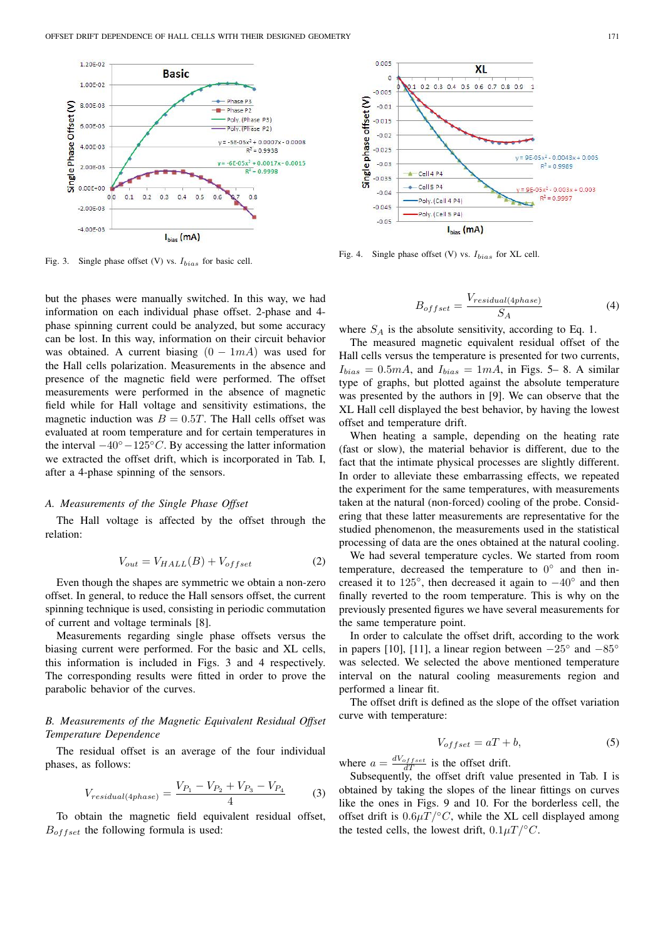

Fig. 3. Single phase offset (V) vs.  $I_{bias}$  for basic cell.

but the phases were manually switched. In this way, we had information on each individual phase offset. 2-phase and 4 phase spinning current could be analyzed, but some accuracy can be lost. In this way, information on their circuit behavior was obtained. A current biasing  $(0 - 1mA)$  was used for the Hall cells polarization. Measurements in the absence and presence of the magnetic field were performed. The offset measurements were performed in the absence of magnetic field while for Hall voltage and sensitivity estimations, the magnetic induction was  $B = 0.5T$ . The Hall cells offset was evaluated at room temperature and for certain temperatures in the interval  $-40°-125°C$ . By accessing the latter information we extracted the offset drift, which is incorporated in Tab. I, after a 4-phase spinning of the sensors.

#### *A. Measurements of the Single Phase Offset*

The Hall voltage is affected by the offset through the relation:

$$
V_{out} = V_{HALL}(B) + V_{offset}
$$
 (2)

Even though the shapes are symmetric we obtain a non-zero offset. In general, to reduce the Hall sensors offset, the current spinning technique is used, consisting in periodic commutation of current and voltage terminals [8].

Measurements regarding single phase offsets versus the biasing current were performed. For the basic and XL cells, this information is included in Figs. 3 and 4 respectively. The corresponding results were fitted in order to prove the parabolic behavior of the curves.

# *B. Measurements of the Magnetic Equivalent Residual Offset Temperature Dependence*

The residual offset is an average of the four individual phases, as follows:

$$
V_{residual(4phase)} = \frac{V_{P_1} - V_{P_2} + V_{P_3} - V_{P_4}}{4}
$$
 (3)

To obtain the magnetic field equivalent residual offset,  $B_{offset}$  the following formula is used:



Fig. 4. Single phase offset (V) vs.  $I_{bias}$  for XL cell.

$$
B_{offset} = \frac{V_{residual(4phase)}}{S_A} \tag{4}
$$

where  $S_A$  is the absolute sensitivity, according to Eq. 1.

The measured magnetic equivalent residual offset of the Hall cells versus the temperature is presented for two currents,  $I_{bias} = 0.5mA$ , and  $I_{bias} = 1mA$ , in Figs. 5–8. A similar type of graphs, but plotted against the absolute temperature was presented by the authors in [9]. We can observe that the XL Hall cell displayed the best behavior, by having the lowest offset and temperature drift.

When heating a sample, depending on the heating rate (fast or slow), the material behavior is different, due to the fact that the intimate physical processes are slightly different. In order to alleviate these embarrassing effects, we repeated the experiment for the same temperatures, with measurements taken at the natural (non-forced) cooling of the probe. Considering that these latter measurements are representative for the studied phenomenon, the measurements used in the statistical processing of data are the ones obtained at the natural cooling.

We had several temperature cycles. We started from room temperature, decreased the temperature to  $0^{\circ}$  and then increased it to  $125^\circ$ , then decreased it again to  $-40^\circ$  and then finally reverted to the room temperature. This is why on the previously presented figures we have several measurements for the same temperature point.

In order to calculate the offset drift, according to the work in papers [10], [11], a linear region between  $-25^\circ$  and  $-85^\circ$ was selected. We selected the above mentioned temperature interval on the natural cooling measurements region and performed a linear fit.

The offset drift is defined as the slope of the offset variation curve with temperature:

$$
V_{offset} = aT + b,\t\t(5)
$$

where  $a = \frac{dV_{offset}}{dT}$  is the offset drift.

Subsequently, the offset drift value presented in Tab. I is obtained by taking the slopes of the linear fittings on curves like the ones in Figs. 9 and 10. For the borderless cell, the offset drift is  $0.6\mu T/°C$ , while the XL cell displayed among the tested cells, the lowest drift,  $0.1 \mu T / \n\degree C$ .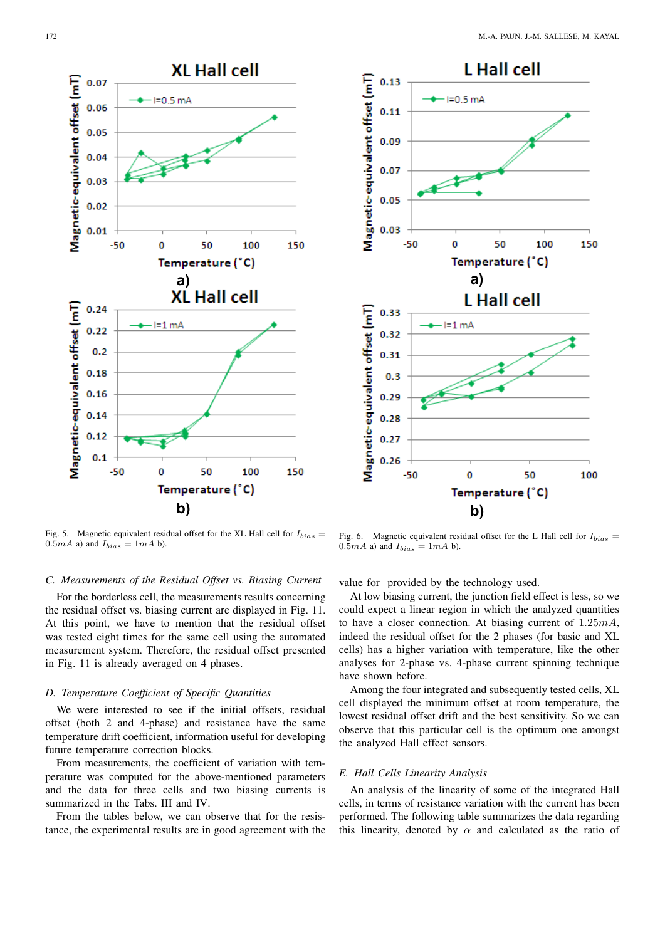



## *C. Measurements of the Residual Offset vs. Biasing Current*

For the borderless cell, the measurements results concerning the residual offset vs. biasing current are displayed in Fig. 11. At this point, we have to mention that the residual offset was tested eight times for the same cell using the automated measurement system. Therefore, the residual offset presented in Fig. 11 is already averaged on 4 phases.

## *D. Temperature Coefficient of Specific Quantities*

We were interested to see if the initial offsets, residual offset (both 2 and 4-phase) and resistance have the same temperature drift coefficient, information useful for developing future temperature correction blocks.

From measurements, the coefficient of variation with temperature was computed for the above-mentioned parameters and the data for three cells and two biasing currents is summarized in the Tabs. III and IV.

From the tables below, we can observe that for the resistance, the experimental results are in good agreement with the



Fig. 6. Magnetic equivalent residual offset for the L Hall cell for  $I_{bias}$  =  $0.5mA$  a) and  $I_{bias} = 1mA$  b).

value for provided by the technology used.

At low biasing current, the junction field effect is less, so we could expect a linear region in which the analyzed quantities to have a closer connection. At biasing current of 1.25mA, indeed the residual offset for the 2 phases (for basic and XL cells) has a higher variation with temperature, like the other analyses for 2-phase vs. 4-phase current spinning technique have shown before.

Among the four integrated and subsequently tested cells, XL cell displayed the minimum offset at room temperature, the lowest residual offset drift and the best sensitivity. So we can observe that this particular cell is the optimum one amongst the analyzed Hall effect sensors.

## *E. Hall Cells Linearity Analysis*

An analysis of the linearity of some of the integrated Hall cells, in terms of resistance variation with the current has been performed. The following table summarizes the data regarding this linearity, denoted by  $\alpha$  and calculated as the ratio of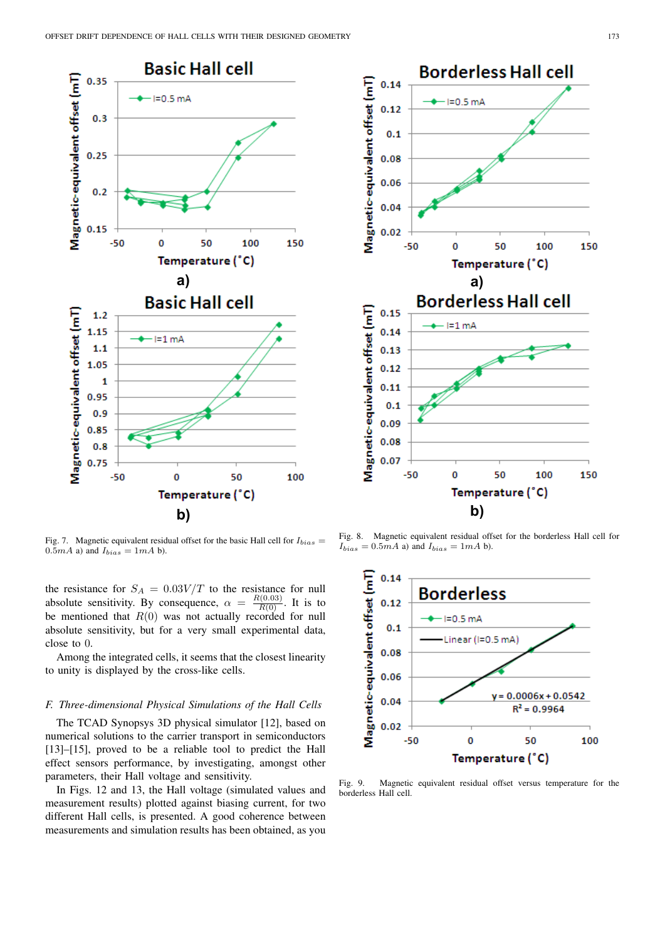

Fig. 7. Magnetic equivalent residual offset for the basic Hall cell for  $I_{bias}$  =  $0.5mA$  a) and  $I_{bias} = 1mA$  b).

the resistance for  $S_A = 0.03V/T$  to the resistance for null absolute sensitivity. By consequence,  $\alpha = \frac{R(0.03)}{R(0)}$ . It is to be mentioned that  $R(0)$  was not actually recorded for null absolute sensitivity, but for a very small experimental data, close to 0.

Among the integrated cells, it seems that the closest linearity to unity is displayed by the cross-like cells.

### *F. Three-dimensional Physical Simulations of the Hall Cells*

The TCAD Synopsys 3D physical simulator [12], based on numerical solutions to the carrier transport in semiconductors [13]–[15], proved to be a reliable tool to predict the Hall effect sensors performance, by investigating, amongst other parameters, their Hall voltage and sensitivity.

In Figs. 12 and 13, the Hall voltage (simulated values and measurement results) plotted against biasing current, for two different Hall cells, is presented. A good coherence between measurements and simulation results has been obtained, as you



Fig. 8. Magnetic equivalent residual offset for the borderless Hall cell for  $I_{bias} = 0.5mA$  a) and  $I_{bias} = 1mA$  b).



Fig. 9. Magnetic equivalent residual offset versus temperature for the borderless Hall cell.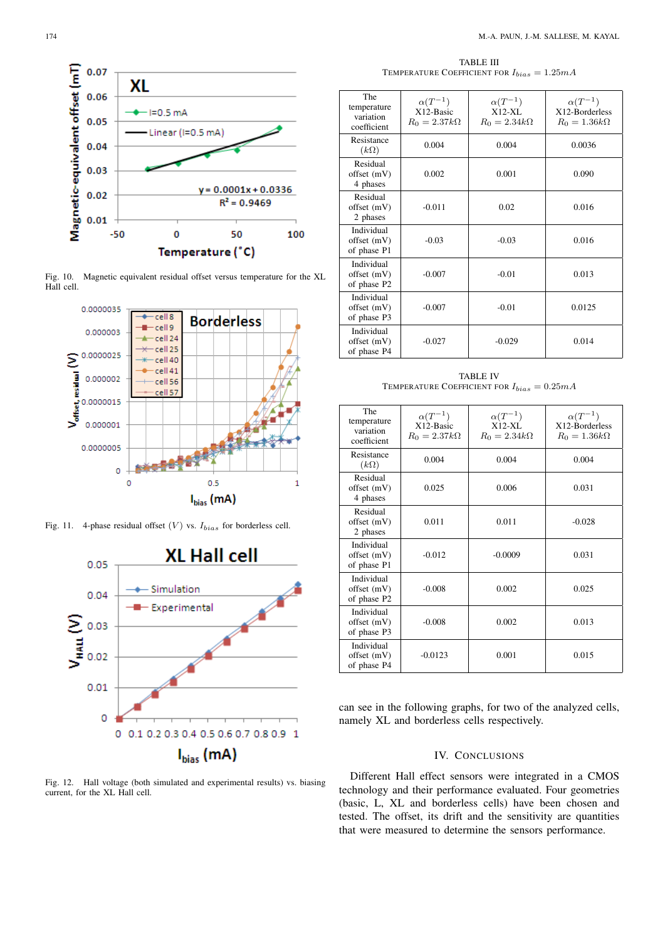

Fig. 10. Magnetic equivalent residual offset versus temperature for the XL Hall cell.



Fig. 11. 4-phase residual offset  $(V)$  vs.  $I_{bias}$  for borderless cell.



Fig. 12. Hall voltage (both simulated and experimental results) vs. biasing current, for the XL Hall cell.

TABLE III TEMPERATURE COEFFICIENT FOR  $I_{bias} = 1.25 mA$ 

| <b>The</b><br>temperature<br>variation<br>coefficient | $\alpha(T^{-1})$<br>X12-Basic<br>$R_0 = 2.37k\Omega$ | $\alpha(T^{-1})$<br>$X12-XL$<br>$R_0 = 2.34k\Omega$ | $\alpha(T^{-1})$<br>X12-Borderless<br>$R_0 = 1.36k\Omega$ |
|-------------------------------------------------------|------------------------------------------------------|-----------------------------------------------------|-----------------------------------------------------------|
| Resistance<br>$(k\Omega)$                             | 0.004                                                | 0.004                                               | 0.0036                                                    |
| Residual<br>offset (mV)<br>4 phases                   | 0.002                                                | 0.001                                               | 0.090                                                     |
| Residual<br>offset (mV)<br>2 phases                   | $-0.011$                                             | 0.02                                                | 0.016                                                     |
| Individual<br>offset (mV)<br>of phase P1              | $-0.03$                                              | $-0.03$                                             | 0.016                                                     |
| Individual<br>offset (mV)<br>of phase P2              | $-0.007$                                             | $-0.01$                                             | 0.013                                                     |
| Individual<br>offset (mV)<br>of phase P3              | $-0.007$                                             | $-0.01$                                             | 0.0125                                                    |
| Individual<br>offset (mV)<br>of phase P4              | $-0.027$                                             | $-0.029$                                            | 0.014                                                     |

TABLE IV TEMPERATURE COEFFICIENT FOR  $I_{bias} = 0.25 mA$ 

| <b>The</b><br>temperature<br>variation<br>coefficient | $\alpha(T^{-1})$<br>X12-Basic<br>$R_0 = 2.37k\Omega$ | $\alpha(T^{-1})$<br>$X12-XL$<br>$R_0 = 2.34k\Omega$ | $\alpha(T^{-1})$<br>X12-Borderless<br>$R_0 = 1.36k\Omega$ |
|-------------------------------------------------------|------------------------------------------------------|-----------------------------------------------------|-----------------------------------------------------------|
| Resistance<br>$(k\Omega)$                             | 0.004                                                | 0.004                                               | 0.004                                                     |
| Residual<br>offset (mV)<br>4 phases                   | 0.025                                                | 0.006                                               | 0.031                                                     |
| Residual<br>offset (mV)<br>2 phases                   | 0.011                                                | 0.011                                               | $-0.028$                                                  |
| Individual<br>offset (mV)<br>of phase P1              | $-0.012$                                             | $-0.0009$                                           | 0.031                                                     |
| Individual<br>offset (mV)<br>of phase P2              | $-0.008$                                             | 0.002                                               | 0.025                                                     |
| Individual<br>offset (mV)<br>of phase P3              | $-0.008$                                             | 0.002                                               | 0.013                                                     |
| Individual<br>offset (mV)<br>of phase P4              | $-0.0123$                                            | 0.001                                               | 0.015                                                     |

can see in the following graphs, for two of the analyzed cells, namely XL and borderless cells respectively.

# IV. CONCLUSIONS

Different Hall effect sensors were integrated in a CMOS technology and their performance evaluated. Four geometries (basic, L, XL and borderless cells) have been chosen and tested. The offset, its drift and the sensitivity are quantities that were measured to determine the sensors performance.